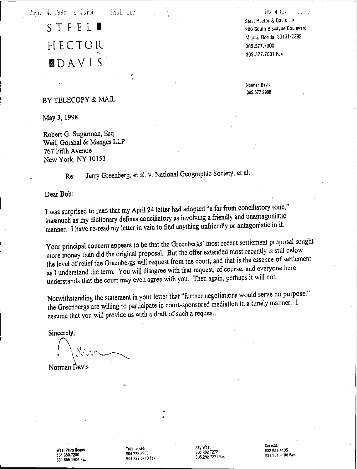MAY, 4.1998 2:46FM SH&D LLF

> STEEL HECTOR **MDAVIS**

Steel Hector & Davis LLP 200 South Biscayne Boulevard Mianii, Florida 33131-2398 305.577.7000 305.577.7001 Fax

NU. 4000

Norman Davis 305.577.2988

### BY TELECOPY & MAIL

May 3, 1998

Robert G. Sugarman, Esq. Weil, Gotshal & Manges LLP 767 Fifth Avenue New York, NY 10153

> Jerry Greenberg, et al. v. National Geographic Society, et al. Re.

 $\ddot{\cdot}$ 

Dear Bob:

I was surprised to read that my April 24 letter had adopted "a far from conciliatory tone," inasmuch as my dictionary defines conciliatory as involving a friendly and unantagonistic manner. I have re-read my letter in vain to find anything unfriendly or antagonistic in it.

Your principal concern appears to be that the Greenbergs' most recent settlement proposal sought more money than did the original proposal. But the offer extended most recently is still below the level of relief the Greenbergs will request from the court, and that is the essence of settlement as I understand the term. You will disagree with that request, of course, and everyone here understands that the court may even agree with you. Then again, perhaps it will not.

Notwithstanding the statement in your letter that "further negotiations would serve no purpose," the Greenbergs are willing to participate in court-sponsored mediation in a timely manner. I assume that you will provide us with a draft of such a request.

Sincerely,

Norman Davis

West Palm Beach 561 650,7200 561.655.1509 Fax Tailahassee 904 222.2300 904 222 3410 Fax Key West 305 292 7272 305.292 7271 Fax Caracas 532.951.4105 582.951 4106 Fax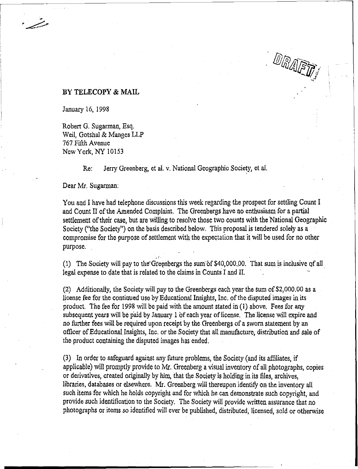### **BY TELECOPY & MAIL**

January 16, 1998

Robert G. Sugarman, Esq. Weil, Gotshal & Manges LLP 767 Fifth Avenue New York, NY 10153

Re: Jerry Greenberg, et al. *v*. National Geographic Society, et al.

Dear Mr. Sugarman:

You and I have had telephone discussions this week regarding the prospect for settling Count I and Count II of the Amended Complaint. The Greenbergs have no enthusiasm for a partial settlement of their case, but are willing to resolve those two counts with the National Geographic Society ("the Society") on the basis described below. This proposal is tendered solely as a compromise for the purpose of settlement with the expectation that it will be used for no other purpose.

DRAFIN

.. (1) The Society will pay to the Greenbergs the sum of  $$40,000,00$ . That sum is inclusive of all legal expense to date that is related to the claims in Counts I and II.

 $(2)$  Additionally, the Society will pay to the Greenbergs each year the sum of \$2,000.00 as a license fee for the continued use by Educational Insights, Inc. of the disputed images in its product. The fee for 1998 will be paid with the amount stated in  $(1)$  above. Fees for any subsequent years will be paid by January 1 of each year of license. The license will expire and no further fees will be required upon receipt by the Greenbergs of a sworn statement by an officer of Educational Insights, Inc. or the Society that all manufacture, distribution and sale of the product containing the disputed images has ended.

(3) In order to safeguard against any future problems, the Society (and its affiliates, if applicable) will promptly provide to Mr. Greenberg a visual inventory of all photographs, copies or derivatives, created originally by him, that the Society is holding in its files, archives, libraries, databases or elsewhere. Mr. Greenberg will thereupon identify ontheinventory all such items for which he holds copyright and for which he can demonstrate such copyright, and provide such identification to the Society. The Society will provide written assurance that no photographs or items so identified will ever be published, distributed, licensed, sold or otherwise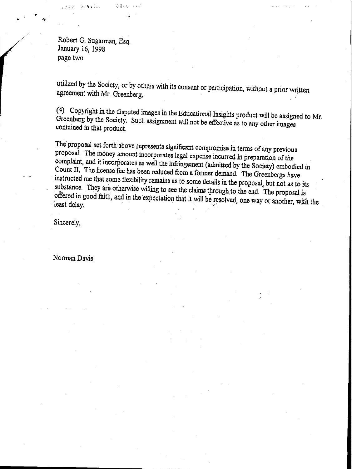Robert G. Sugarman, Esq. January 16, 1998 page two

·:1.;':, ": ' 'r <sup>i</sup> ; ,'1

•

utilized by the Society, or by others with its Consent or participation, without a prior written agreement with Mr. Greenberg.

(4) Copyright in the disputed images in the Educational Insights product will be assigned to Mr. Greenberg by the Society. Such assignment will not be effective as to any other images contained in that product.

The proposal set forth above represents significant compromise in terms of any previous proposal. The money amount incorporates legal expense incurred in preparation of the complaint, and it incorporates as well the infringement (admitted by the Society) embodied in Count II. The license fee has been reduced from a former demand. The Greenbergs have instructed me that some flexibility remains as to some details in the proposal, but not as to its substance. They are otherwise willing to see the claims tprough to the end. The proposal is offered ingood faith, and inthe 'expectation that it will beresolved, One way or another, with the least delay.

Sincerely,

Norman Davis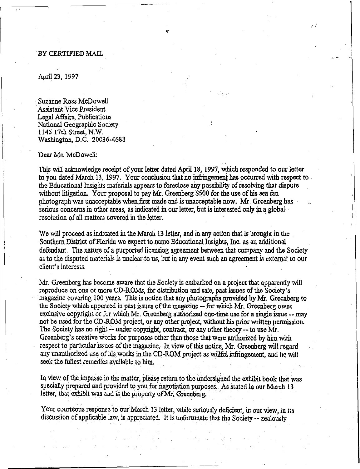### BY CERTIFIED MAIL

April 23, 1997

Suzanne Ross McDowell Assistant Vice President Legal Affairs, Publications National Geographic Society 1145 17th Street, N.W. Washington, D.C. 20036-4688

#### Dear Ms. McDowell:

This will acknowledge receipt of your letter dated April 18, 1997, which responded to our letter to you dated March 13, 1997. Your conclusion that no infringement has occurred with respect to. the Educational Insights materials appears to foreclose any possibility of resolving that dispute without litigation. Your proposal to pay Mr. Greenberg \$500 for the use of his sea fan photograph was unacceptable when first made and is unacceptable now. Mr. Greenberg has serious concerns in other areas, as indicated in our letter, but is interested only in a global resolution of all matters covered in the letter.

C'

 $\mathcal{C}^{\bullet}$ 

......

We will proceed as indicated in the March 13 letter, and in any action that is brought in the Southern District ofFlorida we expect to name Educational Insights, Inc. as an additional defendant. The nature of a purported licensing agreement between that company and the Society asto the disputed materials is unclear to us, butin any event such an agreement is external to our client's interests.

Mr. Greenberg has become aware that the Society is embarked on a project that apparently will reproduce on one or more CD-ROMs, for distribution and sale, pastissues of the Society's magazine covering 100 years. This is notice that any photographs provided byMr. Greenberg to the Society which appeared in past issues of the magazine -- for which Mr. Greenberg owns exclusive copyright or for which Mr. Greenberg authorized one-time use for a single issue -- may not be used for the CD-ROM project, or any other project, without his prior written permission. The Society has no right -- under copyright, contract, or any other theory -- to use  $\overline{Mr}$ . Greenberg's creative works for purposes other than those that were authorized by him with respect to particular issues of the magazine. In view of this notice, Mr. Greenberg will regard any unauthorized use of his works in the CD-ROM project as willful infringement, and he will seek the fullest remedies available to him.

In view of the impasse in the matter, please return to the undersigned the exhibit book that was specially prepared and provided to you for negotiation purposes. As stated in our March 13 letter, that exhibit was and is the property of Mr. Greenberg.

Your courteous response to our March 13 letter, while seriously deficient, in our view, in its discussion of applicable law, is appreciated. It is unfortunate that the Society -- zealously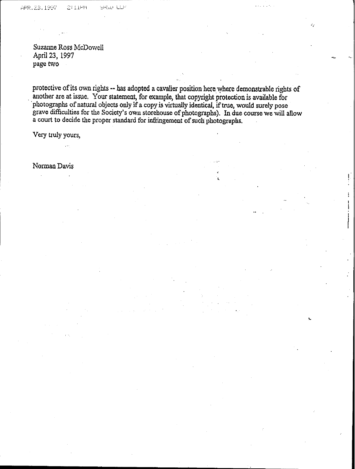Suzanne Ross McDowell April 23, 1997 page two

protective of its own rights -- has adopted a cavalier position here where demonstrable rights of . another are atissue. Your statement, for example, that copyright protection is available for photographs of natural objects only if a copy is virtually identical, if true, would surely pose grave difficulties for the Society's own storehouse of photographs). In due course we will allow a court to decide the proper standard for infringement of such photographs.

 $\mathbf{L}$  is a set of the set of the set of the set of the set of the set of the set of the set of the set of the set of the set of the set of the set of the set of the set of the set of the set of the set of the set of th

Very truly yours,

NormanDavis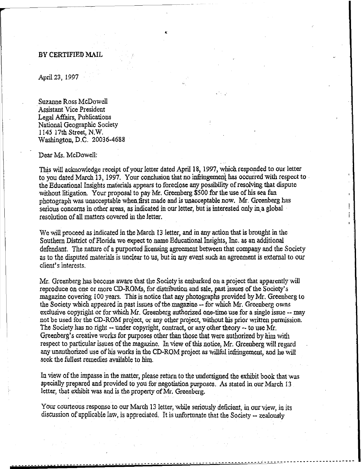### BY CERTIFIED MAIL

April 23, 1997

Suzanne RossMcDowell Assistant Vice President Legal Affairs, Publications National Geographic Society 1145 17th Street, N.W. Washington, D.C. 20036-4688

#### Dear Ms. McDowell:

This will acknowledge receipt of your letter dated April 18, 1997, which responded to our letter to you dated March 13, 1997. Your conclusion that no infringement has occurred with respect to the Educational Insights materials appears to foreclose any possibility of resolving that dispute without litigation. Your proposal to pay Mr. Greenberg \$500 for the use of his sea fan photograph was unacceptable when.first made and isunacceptable now. Mr. Greenberg has serious concerns in other areas, as indicated in our letter, but is interested only in a global resolution of all matters covered in the letter.

,

We will proceed as indicated in the March 13 letter, and in any action that is brought in the Southern District of Florida we expect to name Educational Insights, Inc. as an additional defendant. The nature of a purported licensing agreement between that company and the Society as to the disputed materials is unclear to us, butin any event suchan agreement is external to our client's interests,

Mr. Greenberg has become aware that the Society is embarked on a project that apparently will reproduce on one or more CD-ROMs, for distribution and sale, pastissues of the Society's magazine covering 100 years. This is notice that any photographs provided byMr. Greenberg to the Society which appeared in past issues of the magazine -- for which Mr. Greenberg owns exclusive copyright or for which Mr. Greenberg authorized one-time use for a single issue -- may not be used for the CD-ROM project, or any other project, without his prior written permission. The Society has no right -- under copyright, contract, or any other theory -- to use Mr. Greenberg's creative works for purposes other than those that were authorized by him with respect to particular issues of the magazine. In view of this notice, Mr. Greenberg will regard any unauthorized use of his works intheCD-ROM project aswillful infringement, and he will seek the fullest remedies available to him.

In view of the impasse in the matter, please return to the undersigned the exhibit book that was specially prepared and provided to you for negotiation purposes. As stated in our March 13 letter, that exhibit was and is the property of Mr. Greenberg.

Your courteous response to our March 13 letter, while seriously deficient, in our view, in its discussion of applicable law, is appreciated. It is unfortunate that the Society -- zealously

1Iiii **--------------------------------** -~~-~---------------------- ----------~~~---~--~--~--~---~--~--~--~------~----------------------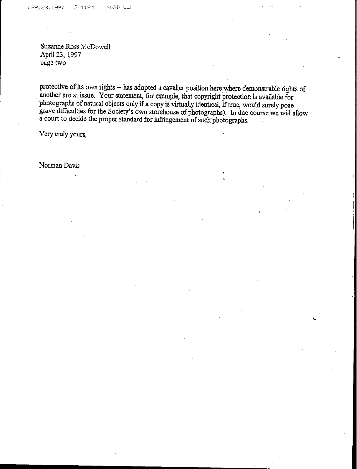SHWD LLP

Suzanne Ross McDowell April 23, 1997 page two

protective of its own rights -- has adopted a cavalier position here where demonstrable rights of another are at issue. Your statement, for example, that copyright protection is available for photographs of natural objects only if a copy is virtually identical, if true, would surely pose grave difficulties for the Society's own storehouse of photographs). In due course we will allow a court to decide the proper standard for infringement of such photographs.

Very truly yours,

NormanDavis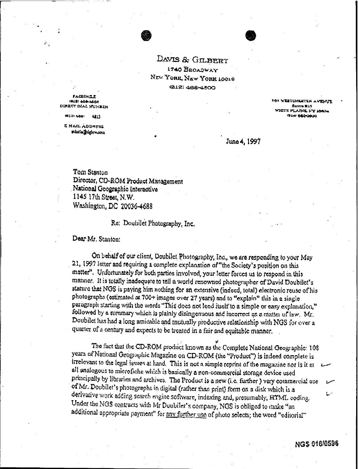DAVIS & GILBERT 1740 BROADWAY NEW YORK, NEW YORK 19919 (812) 488-4500

**EACHIMET** 1918) 404-4665 DINKOT DIAL NUNKER

> (K) 2) 4da-4417

**E MAIL ADDRESS** mhnia@dgiaw.com

**WESTCHERTEN AVE** Surra 810 WHITE PLAINS, FY JOAN **ISLIM DEGIOODS** 

June 4, 1997

Tom Stanton Director, CD-ROM Product Management National Geographic Interactive 1145 17th Street, N.W. Washington, DC 20036-4688

Re: Doubilet Photography, Inc.

Dear Mr. Stanton:

On behalf of our client, Doubilet Photography, Inc., we are responding to your May 21, 1997 letter and requiring a complete explanation of "the Society's position on this matter". Unfortunately for both parties involved, your letter forces us to respond in this manner. It is totally inadequate to tell a world renowned photographer of David Doubilet's stature that NGS is paying him nothing for an extensive (indeed, total) electronic reuse of his photographs (estimated at 700+ images over 27 years) and to "explain" this in a single paragraph starting with the words "This does not lend itself to a simple or easy explanation," followed by a summary which is plainly disingenuous and incorrect as a matter of law. Mr. Doubilet has had a long amicable and mutually productive relationship with NGS for over a quarter of a century and expects to be treated in a fair and equitable manner.

The fact that the CD-ROM product known as the Complete National Geographic: 108 years of National Geographic Magazine on CD-ROM (the "Product") is indeed complete is irrelevant to the legal issues at hand. This is not a simple reprint of the magazine nor is it at all analogous to microfiche which is basically a non-commercial storage device used principally by libraries and archives. The Product is a new (i.e. further ) very commercial use of Mr. Doubilet's photographs in digital (rather than print) form on a disk which is a derivative work adding search engine software, indexing and, presumably, HTML coding. Under the NGS contracts with Mr Doubilet's company, NGS is obliged to make "an additional appropriate payment" for any further use of photo selects; the word "editorial"

 $\mathbb{L}^{\mathbb{Z}}$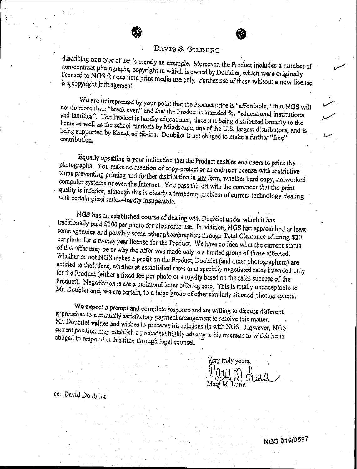### DAVIS & GILDERT

describing one type of use is merely an example. Moreover, the Product includes a number of non-contract photographs, copyright in which is owned by Doubiler, which were originally licensed to NGS for one time print media use only. Further use of these without a new license is a copyright infringement,

We are unimpressed by your point that the Product price is "affordable," that NGS will not do more than "break even" and that the Product is intended for "educational institutions and families". The Product is hardly educational, since it is being distributed broadly to the home as well as the school markets by Mindscape, one of the U.S. largest distributors, and is being supported by Kodak ad tie-ins. Doubilet is not obliged to make a further "free" contribution.

Equally upsetting is your indication that the Product enables end users to print the photographs. You make no mention of copy-protect or an end-user license with restrictive terms preventing printing and further distribution in any form, whether hard copy, networked computer systems or even the Internet. You pass this off with the comment that the print quality is inferior, although this is clearly a temporary problem of current technology dealing with certain pixel ratios-hardly insuperable,

NGS has an established course of dealing with Doubilet under which it has traditionally paid \$100 per photo for electronic use. In addition, NGS has approached at least some agencies and possibly some other photographers through Total Clearance offering \$20 per photo for a twenty year license for the Product. We have no idea what the current status of this offer may be or why the offer was made only to a limited group of those affected. Whether or not NGS makes a profit on the Product, Doubilet (and other photographers) are entitled to their fees, whether at established rates or at specially negotiated rates intended only for the Product (either a fixed fee per photo or a royalty based on the sales success of the Product). Negotiation is not a unilateral letter offering zero. This is totally unacceptable to Mr. Doublet and, we are cortain, to a large group of other similarly situated photographers.

We expect a prompt and complete response and are willing to discuss different approaches to a mutually satisfactory payment arrangement to resolve this matter. Mr. Doubilet values and wishes to preserve his relationship with NGS. However, NGS current position may establish a precedent highly adverse to his interests to which he is obliged to respond at this time through legal counsel.

cry truly yours,

NGS 016/0507

ce: David Doubilet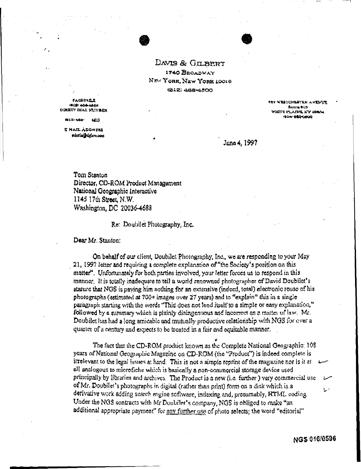DAVIS & GILBERT 1740 BROADWAY NEW YORK, NEW YORK 19919 (212) 488-4500

**FACSINGS 1918) 404-4666** DIRECT DIAL NUMBER

> 0212) 468 4.413

E MAIL ADDRESS mania Jegu w.com **TOT WESTCHERTER AVENUTE Reverse Military** WHITE PLAINS, FT JOINS **GLAU DEDICAUG** 

June 4, 1997

Tom Stanton Director, CD-ROM Product Management National Geographic Interactive 1145 17th Street, N.W. Washington, DC 20036-4688

Re: Doubilet Photography, Inc.

Dear Mr. Stanton:

On behalf of our client, Doubilet Photography, Inc., we are responding to your May 21, 1997 letter and requiring a complete explanation of "the Society's position on this matter". Unfortunately for both parties involved, your letter forces us to respond in this manner. It is totally inadequate to tell a world renowned photographer of David Doubilet's stature that NGS is paying him nothing for an extensive (indeed, total) electronic reuse of his photographs (estimated at 700+ images over 27 years) and to "explain" this in a single paragraph starting with the words "This does not lend itself to a simple or easy explanation," followed by a summary which is plainly disingenuous and incorrect as a matter of law. Mr. Doubilet has had a long amicable and mutually productive relationship with NGS for over a quarter of a century and expects to be treated in a fair and equitable manner.

The fact that the CD-ROM product known as the Complete National Geographic: 108 years of National Geographic Magazine on CD-ROM (the "Product") is indeed complete is irrelevant to the legal issues at hand. This is not a simple reprint of the magazine nor is it at all analogous to microfiche which is basically a non-commercial storage device used principally by libraries and archives. The Product is a new (i.e. further ) very commercial use of Mr. Doubilet's photographs in digital (rather than print) form on a disk which is a derivative work adding search engine software, indexing and, presumably, HTMI, coding. Under the NGS contracts with Mr Doubilet's company, NGS is obliged to make "an additional appropriate payment" for any further use of photo selects; the word "editorial"

اسما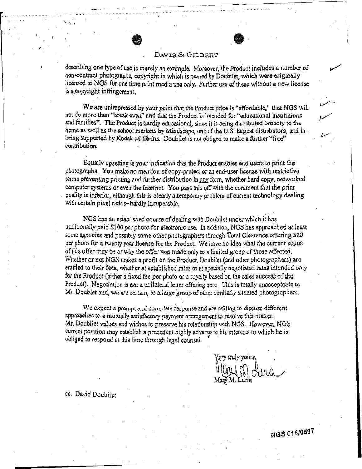### DAVIS & GILDERT

describing one type of use is merely an example. Moreover, the Product includes a number of aon-contract photographs, copyright in which is owned by Doubiler, which were originally licensed to NGS for one time print media use only. Further use of these without a new license is a copyright infringement.

We are unimpressed by your point that the Product price is "affordable," that NGS will not do more than "break even" and that the Product is intended for "educational institutions and families". The Product is hardly educational, since it is being distributed broadly to the home as well as the school markets by Mindscape, one of the U.S. largest distributors, and is being supported by Kodak ad tie-ins. Doubilet is not obliged to make a further "free" contribution.

Equally upsetting is your indication that the Product enables end users to print the photographs. You make no mention of copy-protect or an end-user license with restrictive terms proventing printing and further distribution in any form, whether hard copy, networked computer systems or even the Internet. You pass this off with the comment that the print quality is inferior, although this is clearly a temporary problem of current technology dealing with certain pixel ratios-hardly insuperable,

NGS has an established course of dealing with Doubilct under which it has traditionally paid \$100 per photo for electronic use. In addition, NGS has approached at least some agencies and possibly some other photographers through Total Clearance offering \$20 per photo for a twenty year license for the Product. We have no idea what the current status of this offer may be or why the offer was made only to a limited group of those affected. Whether or not NGS makes a profit on the Product, Doubilet (and other photographers) are entitled to their fees, whether at established rates or at specially negotiated rates intended only for the Froduct (either a fixed fee per photo or a royalty based on the sales success of the Product). Negotiation is not a unilateral letter offering zero. This is totally unacceptable to Mr. Doublet and, we are certain, to a large group of other similarly situated photographers.

We expect a prompt and complete response and are willing to discuss different approaches to a mutually satisfactory payment arrangement to resolve this matter. Mr. Doubilet values and wishes to preserve his relationship with NGS. However, NGS current position may establish a precedent highly adverse to his interests to which he is obliged to respond at this time through legal counsel.

ry truly vours

ce: David Doubilet

NGS 016/0597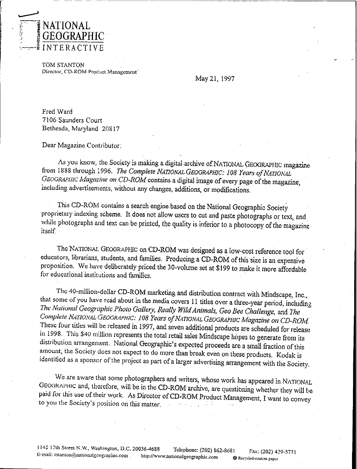

TOM STANTON Director, CD-ROM Product Management

May 21, 1997

Fred Ward 7106 Saunders Court Bethesda, Maryland 20817

Dear Magazine Contributor:

As you know, the Society is making a digital archive of NATIONAL GEOGRAPHIC magazine from 1888 through 1996. The Complete NATIONAL GEOGRAPHIC: 108 Years of NATIONAL GEOGRAFIIIC Magazine on CD-ROM contains a digital image of every page of the magazine, including advertisements, without any changes, additions, or modifications.

This CD-ROM contains a search engine based on the National Geographic Society proprietary indexing scheme. It does not allow users to cut and paste photographs or text, and while photographs and text can be printed, the quality is inferior to a photocopy of the magazine itself.

The NATIONAL GEOGRAPHIC on CD-ROM was designed as a low-cost reference tool for educators, librarians, students, and families. Producing a CD-ROM of this size is an expensive proposition. We have deliberately priced the 30-volume set at \$199 to make it more affordable for educational institutions and families

The 40-million-dollar CD-ROM marketing and distribution contract with Mindscape, Inc., that some of you have read about in the media covers 11 titles over a three-year period, including The National Geographic Photo Gallery, Really Wild Animals, Geo Bee Challenge, and The Complete NATIONAL GEOGRAPHIC: 108 Years of NATIONAL GEOGRAPHIC Magazine on CD-ROM. These four titles will be released in 1997, and seven additional products are scheduled for release in 1998. This \$40 million represents the total retail sales Mindscape hopes to generate from its distribution arrangement. National Geographic's expected proceeds are a small fraction of this amount; the Society does not expect to do more than break even on these products. Kodak is identified as a sponsor of the project as part of a larger advertising arrangement with the Society.

We are aware that some photographers and writers, whose work has appeared in NATIONAL GEOGRAPHIC and, therefore, will be in the CD-ROM archive, are questioning whether they will be paid for this use of their work. As Director of CD-ROM Product Management, I want to convey to you the Society's position on this matter.

1145 17th Street N.W., Washington, D.C. 20036-4688 Telephone: (202) 862-8681 Fax: (202) 429-5771 E-mail: tstanton@nationalgcographic.com http://www.nationalgeographic.com <sup>4</sup> Recycled-content paper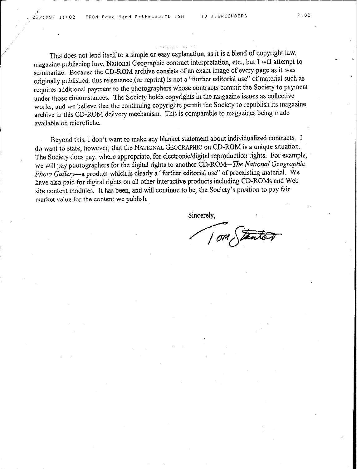This does not lend itself to a simple or easy explanation, as it is a blend of copyright law, magazine publishing lore, National Geographic contract interpretation, etc., but I will attempt to summarize. Because the CD-ROM archive consists of an exact image of every page as it was originally published, this reissuance (or reprint) is not a "further editorial use" of material such as requires additional payment to the photographers whose contracts commit the Society to payment under those circumstances. The Society holds copyrights in the magazine issues as collective works, and we believe that the continuing copyrights permit the Society to republish its magazine archive in this CD-ROM delivery mechanism. This is comparable to magazines being made available on microfiche.

Beyond this, I don't want to make any blanket statement about individualized contracts. I do want to state, however, that the NATIONAL GEOGRAPHiC on CD-ROM is a unique situation. The Society does pay, where appropriate, for electronic/digital reproduction rights. For example, we will pay photographers for the digital rights to another CD-ROM--*The NationalGeographic Photo Gallery-a* product which is clearly a "further. editorial use" of preexisting material. We have also paid for digital rights on all other interactive products including CD-ROMs and Web site content modules. It has been, and will continue to be, the Society's position to pay fair market value for the content we publish.

Sincerely,

Sincerely,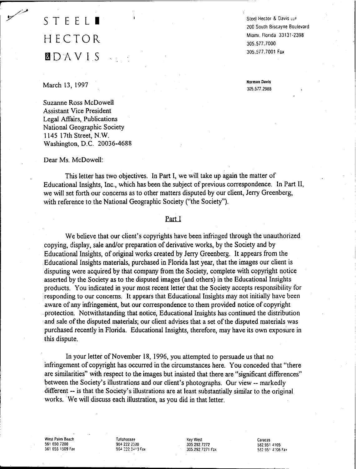# STEEL. HECTOR faDAVIS

Steel Hector & Davis lLP 200 South Biscayne Boulevard MiamI. Florida 33131·2398 305.577.7000 *305.5i7.* 7001 Fax

**Norman Davis** 305.577.2988

#### March 13, 1997

r

Suzanne Ross McDowell Assistant Vice President Legal Affairs, Publications National Geographic Society 1145 17th Street, N.W. Washington, D.C. 20036-4688

Dear Ms. McDowell:

This letter has two objectives. In Part I, we will take up again the matter of Educational Insights, Inc., which has been the subject of previous correspondence. In Part II, we will set forth our concerns as to other matters disputed by our client, Jerry Greenberg, with reference to the National Geographic Society ("the Society").

### Part I

We believe that our client's copyrights have been infringed through the unauthorized copying, display, sale and/or preparation of derivative works, by the Society and by Educational Insights, of original works created by Jerry Greenberg. It appears from the Educational Insights materials, purchased in Florida last year, that the images our client is disputing were acquired by that company from the Society, complete with copyright notice asserted by the Society as to the disputed images (and others) in the Educational Insights products. You indicated in your most recent letter that the Society accepts responsibility for responding to our concerns. It appears that Educational Insights may not initially have been aware of any infringement, but our correspondence to them provided notice of copyright protection. Notwithstanding that notice, Educational Insights has continued the distribution and sale of the disputed materials; our client advises that a set of the disputed materials was purchased recently in Florida. Educational Insights, therefore, may have its own exposure in this dispute.

In your letter of November 18, 1996, you attempted to persuade us that no infringement of copyright has occurred in the circumstances here. You conceded that "there are similarities" with respect to the images but insisted that there are "significant differences" between the Society's illustrations and our client's photographs. Our view -- markedly different -- is that the Society's illustrations are at least substantially similar to the original works. We will discuss each illustration, as you did in that letter.

West Palm Beach 561650.7200 5616551509 Fax Tallahassee 904 2222:00 904 222 3410 Fax Key West 305292.7272 305.292.7271 Fax Caracas 582,9514105 582 951 4106 Fax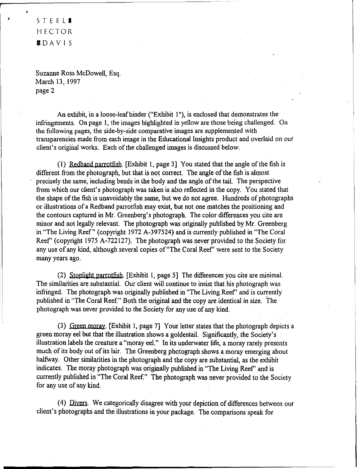### STEELI HECTOR IDAVIS

•

Suzanne Ross McDowell, Esq. March 13, 1997 page 2

An exhibit, in a loose-leaf binder ("Exhibit 1"), is enclosed that demonstrates the infringements. On page I, the images highlighted in yellow are those being challenged. On the following pages, the side-by-side comparative images are supplemented with transparencies made from each image in the Educational Insights product and overlaid on our client's original works. Each of the challenged images is discussed below.

(1) Redband parrotfish. [Exhibit 1, page 3] You stated that the angle of the fish is different from the photograph, but that is not correct. The angle of the fish is almost precisely the same, including bends in the body and the angle of the tail. The perspective from which our client's photograph was taken is also reflected in the copy. You stated that the shape of the fish is unavoidably the same, but we do not agree. Hundreds of photographs or illustrations of a Redband parrotfish may exist, but not one matches the positioning and the contours captured in Mr. Greenberg's photograph. The color differences you cite are minor and not legally relevant. The photograph was originally published by Mr. Greenberg in "The Living Reef" (copyright 1972 A-397524) and is currently published in"The Coral Reef' (copyright 1975 A-722127). The photograph was never provided to the Society for any use of any kind, although several copies of "The Coral Reef' were sent to the Society many years ago.

(2) Stoplight parrotfish. [Exhibit 1, page 5] The differences you cite are minimal. The similarities are substantial. Our client will continue to insist that his photograph was infringed. The photograph was originally published in"The Living Reef' and is currently published in "The Coral Reef." Both the original and the copy are identical in size. The photograph was never provided to the Society for any use of any kind.

(3) Green moray. [Exhibit 1, page 7] Your letter states that the photograph depicts a green morayeel but that the illustration shows a goldentail. Significantly, the Society's illustration labels the creature a "moray eel." In its underwater life, a moray rarely presents much of its body out of its lair. The Greenberg photograph shows a moray emerging about halfway. Other similarities in the photograph and the copy are substantial, as the exhibit indicates. The moray photograph was originally published in "The Living Reef' and is currently published in "The Coral Reef." The photograph was never provided to the Society for any use of any kind.

(4) Divers. We categorically disagree with your depiction of differences between our client's photographs and the illustrations in your package. The comparisons speak for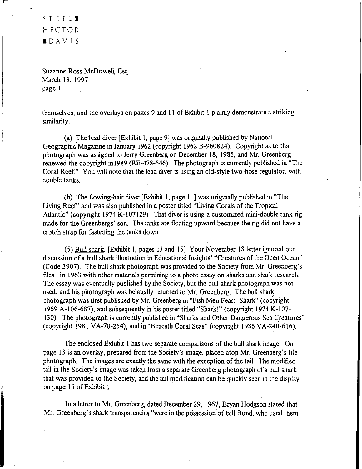STEELI HECTOR. .DAVIS

Suzanne Ross McDowell, Esq. March 13, 1997 page 3

themselves, and the overlays on pages 9 and II of Exhibit I plainly demonstrate a striking similarity.

(a) The lead diver [Exhibit I, page 9] was originally published by National Geographic Magazine in January 1962 (copyright 1962 B-960824). Copyright as to that photograph was assigned to Jerry Greenberg on December 18, 1985, and Mr. Greenberg renewed the copyright inl989 (RE-478-546). The photograph is currently published in "The Coral Reef." You will note that the lead diver is using an old-style two-hose regulator, with double tanks.

(b) The flowing-hair diver [Exhibit I, page II] was originally published in "The Living Reef' and was also published in a poster titled "Living Corals of the Tropical Atlantic" (copyright 1974 K-107129). That diver is using a customized mini-double tank rig made for the Greenbergs' son. The tanks are floating upward because the rig did not have a crotch strap for fastening the tanks down.

(5) Bull shark. [Exhibit I, pages 13 and 15] Your November 18 letter ignored our discussion of a bull shark illustration in Educational Insights' "Creatures of the Open Ocean" (Code 3907). The bull shark photograph was provided to the Society from Mr. Greenberg's files in 1963 with other materials pertaining to a photo essay on sharks and shark research. The essay was eventually published by the Society, but the bull shark photograph was not used, and his photograph was belatedly returned to Mr. Greenberg. The bull shark photograph was first published by Mr. Greenberg in "Fish Men Fear: Shark" (copyright 1969 A-106-687), and subsequently in his poster titled "Shark!" (copyright 1974 K-107-130). The photograph is currently published in "Sharks and Other Dangerous Sea Creatures" (copyright 1981 VA-70-254), and in "Beneath Coral Seas" (copyright 1986 VA-240-616).

The enclosed Exhibit 1 has two separate comparisons of the bull shark image. On page 13 is an overlay, prepared from the Society's image, placed atop Mr. Greenberg's file photograph. The images are exactly the same with the exception of the tail. The modified tail in the Society's image was taken from a separate Greenberg photograph of a bull shark that was provided to the Society, and the tail modification can be quickly seen in the display on page 15 ofExhibit 1.

In a letter to Mr. Greenberg, dated December 29, 1967, Bryan Hodgson stated that Mr. Greenberg's shark transparencies "were in the possession of Bill Bond, who used them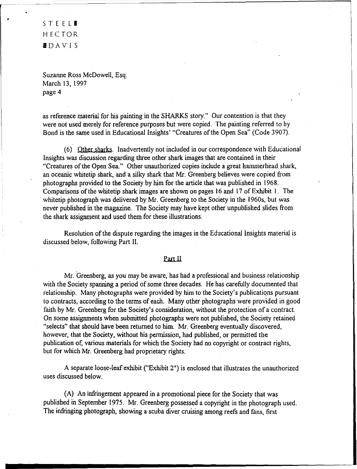STEEL**I** HECTOR IDAVIS

Suzanne Ross McDowell, Esq. March 13, 1997 page 4

as reference material for his painting in the SHARKS story." Our contention is that they were not used merely for reference purposes but were copied. The painting referred to by Bond is the same used in Educational Insights' "Creatures of the Open Sea" (Code 3907).

(6) Other sharks. Inadvertently not included in our correspondence with Educational Insights was discussion regarding three other shark images that are contained in their "Creatures of the Open Sea." Other unauthorized copies include a great hammerhead shark, an oceanic whitetip shark, and a silky shark that Mr. Greenberg believes were copied from photographs provided to the Society by him for the article that was published in 1968. Comparisons of the whitetip shark images are shown on pages 16and 17of Exhibit I. The whitetip photograph was delivered by Mr. Greenberg to the Society in the 1960s, but was never published in the magazine. The Society may have kept other unpublished slides from the shark assignment and used them for these illustrations.

Resolution of the dispute regarding the images in the Educational Insights material is discussed below, following Part II.

### Part II

Mr. Greenberg, as you may be aware, has had a professional and business relationship with the Society spanning a period of some three decades. He has carefully documented that relationship. Many photographs were provided by him to the Society's publications pursuant to contracts, according to the terms of each. Many other photographs were provided in good faith by Mr. Greenberg for the Society's consideration, without the protection of a contract. On some assignments when submitted photographs were not published, the Society retained "selects" that should have been returned to him. Mr. Greenberg eventually discovered, however, that the Society, without his permission, had published, or permitted the publication of, various materials for which the Society had no copyright or contract rights, but for which Mr. Greenberg had proprietary rights.

A separate loose-leaf exhibit ("Exhibit 2") is enclosed that illustrates the unauthorized uses discussed below.

(A) Aninfringement appeared in a promotional piece for the Society that was published in September 1975. Mr. Greenberg possessed a copyright in the photograph used. The infringing photograph, showing a scuba diver cruising among reefs and fans, first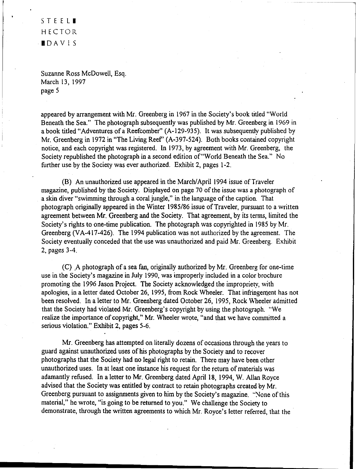### STEEL**.** HECTOR .DAVIS

Suzanne Ross McDowell, Esq. March 13, 1997 page 5

appeared by arrangement with Mr. Greenberg in 1967 in the Society's book titled "World Beneath the Sea." The photograph subsequently was published by Mr. Greenberg in 1969 in a book titled "Adventures of a Reefcomber" (A-129-935). It was subsequently published by Mr. Greenberg in 1972 in "The Living Reef' (A-397-524). Both books contained copyright notice, and each copyright was registered. In 1973, by agreement with Mr. Greenberg, the Society republished the photograph in a second edition of"World Beneath the Sea." No further use by the Society was ever authorized. Exhibit 2, pages 1-2.

(B) An unauthorized use appeared in the March/April 1994 issue of Traveler magazine, published by the Society. Displayed on page 70 of the issue was a photograph of a skin diver "swimming through a coral jungle," in the language of the caption. That photograph originally appeared in the Winter 1985/86 issue of Traveler, pursuant to a written agreement between Mr. Greenberg and the Society. That agreement, by its terms, limited the Society's rights to one-time publication. The photograph was copyrighted in 1985 by Mr. Greenberg (VA-417-426). The 1994 publication was not authorized by the agreement. The Society eventually conceded that the use was unauthorized and paid Mr. Greenberg. Exhibit 2, pages 3-4.

(C) .A photograph of a sea fan, originally authorized by Mr. Greenberg for one-time use in the Society's magazine in July 1990, was improperly included in a color brochure promoting the 1996 Jason Project. The Society acknowledged the impropriety, with apologies, in a letter dated October 26, 1995, from Rock Wheeler. That infringement has not been resolved. In a letter to Mr. Greenberg dated October 26, 1995, Rock Wheeler admitted that the Society had violated Mr. Greenberg's copyright by using the photograph. "We realize the importance of copyright," Mr. Wheeler wrote, "and that we have committed a serious violation." Exhibit 2, pages 5-6.

Mr. Greenberg has attempted on literally dozens of occasions through the years to guard against unauthorized uses of his photographs by the Society and to recover photographs that the Society had no legal right to retain. There may have been other unauthorized uses. In at least one instance his request for the return of materials was adamantly refused. In a letter to Mr. Greenberg dated April 18, 1994, W. Allan Royce advised that the Society was entitled by contract to retain photographs created by Mr. Greenberg pursuant to assignments given to him by the Society's magazine. "None ofthis material," he wrote, "is going to be returned to you." We challenge the Society to demonstrate, through the written agreements to which Mr. Royce's letter referred, that the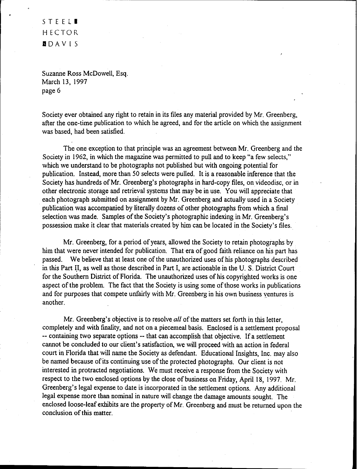STEEL. HECTOR IDAVIS

Suzanne Ross McDowell, Esq. March 13, 1997 page 6

Society ever obtained any right to retain in its files any material provided by Mr. Greenberg, after the one-time publication to which he agreed, and for the article on which the assignment was based, had been satisfied.

The one exception to that principle was an agreement between Mr. Greenberg and the Society in 1962, in which the magazine was permitted to pull and to keep "a few selects," which we understand to be photographs not published but with ongoing potential for publication. Instead, more than 50 selects were pulled. It is a reasonable inference that the Society has hundreds of Mr. Greenberg's photographs in hard-copy files, on videodisc, or in other electronic storage and retrieval systems that may be in use. You will appreciate that each photograph submitted on assignment byMr. Greenberg and actually used in a Society publication was accompanied by literally dozens of other photographs from which a final selection was made. Samples of the Society's photographic indexing in Mr. Greenberg's possession make it clear that materials created by him can be located in the Society's files.

Mr. Greenberg, for a period of years, allowed the Society to retain photographs by him that were never intended for publication. That era of good faith reliance on his part has passed. We believe that at least one of the unauthorized uses of his photographs described in this Part II, as well as those described in Part I, are actionable in the U. S. District Court for the Southern District of Florida. The unauthorized uses of his copyrighted works is one aspect of the problem. The fact that the Society is using some of those works in publications and for purposes that compete unfairly with Mr. Greenberg in his own business ventures is another.

Mr. Greenberg's objective is to resolve *all* of the matters set forth in this letter, completely and with finality, and not on a piecemeal basis. Enclosed is a settlement proposal -- containing two separate options -- that can accomplish that objective. If a settlement cannot be concluded to our client's satisfaction, we will proceed with an action in federal court in Florida that will name the Society as defendant. Educational Insights, Inc. may also be named because of its continuing use of the protected photographs. Our client is not interested in protracted negotiations. We must receive a response from the Society with respect to the two enclosed options by the close of business on Friday, April 18, 1997. Mr. Greenberg's legal expense to date isincorporated in the settlement options. Any additional legal expense more than nominal in nature will change the damage amounts sought. The enclosed loose-leaf exhibits are the property of Mr. Greenberg and must be returned upon the conclusion of this matter.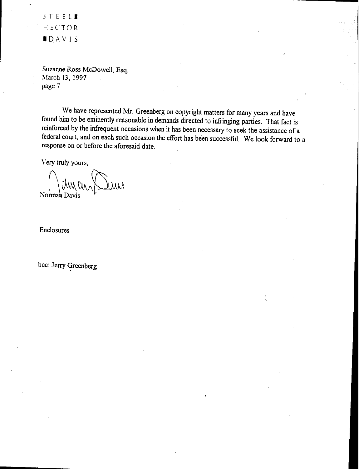~TEEL. HECTOR IDAVIS

Suzanne Ross McDowell, Esq. March 13, 1997 page 7

We have represented Mr. Greenberg on copyright matters for many years and have found him to be eminently reasonable in demands directed to infringing parties. That fact is reinforced by the infrequent occasions when it has been necessary to seek the assistance of a federal court, and on each such occasion the effort has been successful. We look forward to a response on or before the aforesaid date.

Very truly yours,

 $\langle \ \rangle$ chycus  $\langle \ \rangle$ au Norman Davis

Enclosures

bcc: Jerry Greenberg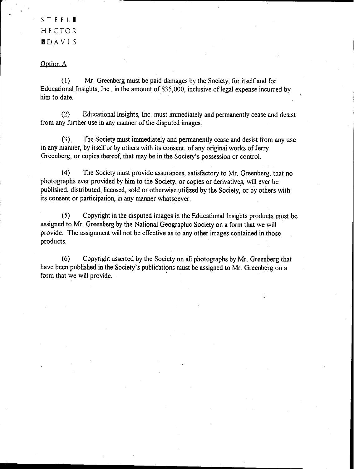### STEEL<sup>.</sup> HECTOR DDAVIS

### Option A

(1) Mr. Greenberg must be paid damages by the Society, for itself and for Educational Insights, Inc., in the amount of \$35,000, inclusive of legal expense incurred by him to date.

(2) Educational Insights, Inc. must immediately and permanently cease and desist from any further use in any manner of the disputed images.

(3) . The Society must immediately and permanently cease and desist from any use in any manner, by itself or by others with its consent, of any original works of Jerry Greenberg, or copies thereof, that may be in the Society's possession or control.

(4) The Society must provide assurances, satisfactory to Mr. Greenberg, that no photographs ever provided by him to the Society, or copies or derivatives, will ever be published, distributed, licensed, sold or otherwise utilized by the Society, or by others with its consent or participation, in any manner whatsoever.

(5) Copyright in the disputed images in the Educational Insights products must be assigned to Mr. Greenberg by the National Geographic Society on a form that we will provide. The assignment will not be effective as to any other images contained in those products.

(6) Copyright asserted by the Society on all photographs by Mr. Greenberg that have been published in the Society's publications must be assigned to Mr. Greenberg on a form that we will provide.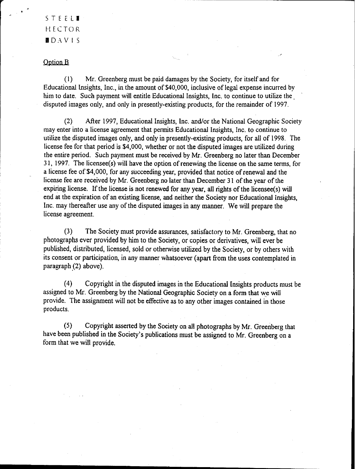STEELI HECTOR  $\blacksquare$  DAVIS

#### Option B

 $(1)$  Mr. Greenberg must be paid damages by the Society, for itself and for Educational Insights, Inc., in the amount of \$40,000, inclusive of legal expense incurred by him to date. Such payment will entitle Educational Insights, Inc. to continue to utilize the. disputed images only, and only in presently-existing products, for the remainder of 1997.

(2) After 1997, Educational Insights, Inc. and/or the National Geographic Society may enter into a license agreement that permits Educational Insights, Inc. to continue to utilize the disputed images only, and only in presently-existing products, for all of 1998. The license fee for that period is \$4,000, whether or not the disputed images are utilized during the entire period. Such payment must be received by Mr. Greenberg no later than December 31, 1997. The licensee(s) will have the option of renewing the license on the same terms, for a license fee of \$4,000, for any succeeding year, provided that notice of renewal and the license fee are received by Mr. Greenberg no later than December 31 of the year of the expiring license. If the license is not renewed for any year, all rights of the licensee(s) will end at the expiration of an existing license, and neither the Society nor Educational Insights, Inc. may thereafter use any of the disputed images in any manner. We will prepare the license agreement.

(3) The Society must provide assurances, satisfactory to Mr. Greenberg, that no photographs ever provided by him to the Society, or copies or derivatives, will ever be published, distributed, licensed, sold or otherwise utilized by the Society, or by others with its consent or participation, in anymanner whatsoever (apart from the uses contemplated in paragraph (2) above).

(4) Copyright in the disputed images in the Educational Insights products must be assigned to Mr. Greenberg by the National Geographic Society on a form that we will provide. The assignment will not be effective as to any other images contained in those products,

(5) Copyright asserted by the Society on all photographsby Mr. Greenberg that have been published in the Society's publications must be assigned to Mr. Greenberg on a form that we will provide.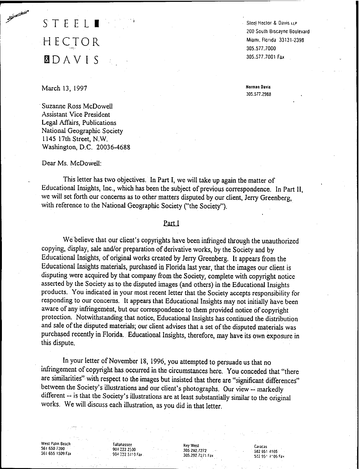# STEEL I HECTOR f30AVIS

Steel Hector & Davis LLP 200 Soulh Biscayne Boulevard MiamI. florida 33131·2398 305.577.7000 305.577.7001 Fax

**Norman Davis** 305.577.2988

### March 13, 1997

**CONTRACTOR** 

Suzanne Ross McDowell Assistant Vice President Legal Affairs, Publications National Geographic Society 1145 17th Street, N.W. Washington, D.C. 20036·4688

#### Dear Ms. McDowell:

This letter has two objectives. In Part I, we will take up again the matter of Educational Insights, Inc., which has been the subject of previous correspondence. In Part II, we will set forth our concerns as to other matters disputed by our client, Jerry Greenberg, with reference to the National Geographic Society ("the Society").

### Part I

We believe that our client's copyrights have been infringed through the unauthorized copying, display, sale and/or preparation of derivative works, by the Society and by Educational Insights, of original works created by Jerry Greenberg. It appears from the Educational Insights materials, purchased in Florida last year, that the images our client is disputing were acquired by that company from the Society, complete with copyright notice asserted by the Society as to the disputed images (and others) in the Educational Insights products. You indicated in your most recent letter that the Society accepts responsibility for responding to our concerns. It appears that Educational Insights may not initially have been aware of any infringement, but our correspondence to them provided notice of copyright protection. Notwithstanding that notice, Educational Insights has continued the distribution and sale of the disputed materials; our client advises that a set of the disputed materials was purchased recently in Florida. Educational Insights, therefore, may have its own exposure in this dispute.

In your letter of November 18, 1996, you attempted to persuade us that no infringement of copyright has occurred in the circumstances here. You conceded that "there are similarities" with respect to the images but insisted that there are "significant differences" between the Society's illustrations and our client's photographs. Our view -- markedly different -- is that the Society's illustrations are at least substantially similar to the original works. We will discuss each illustration, as you did in that letter.

west Palm Beach 561 650 i200 561 655 1509 Fax

Jananassee 90t 222 2::,)0 904 222 3410 Fax

Key West 305.292.7272 305.292.7271 Fax

Caracas 5829514105 582 95: 4106 Fax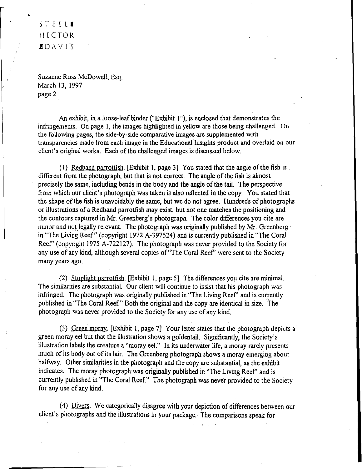## STEELI HECTOR IDA V IS

Suzanne Ross McDowell, Esq. March 13, 1997 page 2

An exhibit, in a loose-leaf binder ("Exhibit 1"), is enclosed that demonstrates the infringements. On page I, the images highlighted in yellow are those being challenged. On the following pages, the side-by-side comparative images are supplemented with transparencies made from each image in the Educational Insights product and overlaid on our client's original works. Each of the challenged images is discussed below.

(I) Redband parrotfish. [Exhibit I, page 3] You stated that the angle ofthe fish is different from the photograph, but that is not correct. The angle of the fish is almost precisely the same, including bends in the body and the angle of the tail. The perspective from which our client's photograph was taken is also reflected in the copy. You stated that the shape ofthe fish is unavoidably the same, but we do not agree. Hundreds of photographs or illustrations ofa Redband parrotfish may exist, but not one matches the positioning and the contours captured in Mr. Greenberg's photograph. The color differences you cite are minor and not legally relevant. The photograph was originally published by Mr. Greenberg in "The Living Reef" (copyright 1972 A-397524) and is currently published in "The Coral Reef' (copyright 1975 A-722127). The photograph was never provided to the Society for any use of any kind, although several copies of"Tbe Coral Reef' were sent to the Society many years ago.

(2) Stoplight parrotfish. [Exhibit 1, page 5] The differences you cite are minimal. The similarities are substantial. Our client will continue to insist that his photograph was infringed. The photograph was originally published in "The Living Reef' and is currently published in "The Coral Reef." Both the original and the copy are identical in size. The photograph was never provided to the Society for any use of any kind.

(3) Green moray. [Exhibit I, page 7] Your letter states that the photograph depicts a green moray eel but that the illustration shows a goldentail. Significantly, the Society's illustration labels the creature a "moray eel." In its underwater life, a moray rarely presents much of its body out of its lair. The Greenberg photograph shows a moray emerging about halfway. Other similarities in the photograph and the copy are substantial, as the exhibit indicates. The moray photograph was originally published in "The Living Reef' and is currently published in "The Coral Reef." The photograph was never provided to the Society for any use of any kind.

(4) Divers. We categorically disagree with your depiction of differences between our client's photographs and the illustrations in your package. The comparisons speak for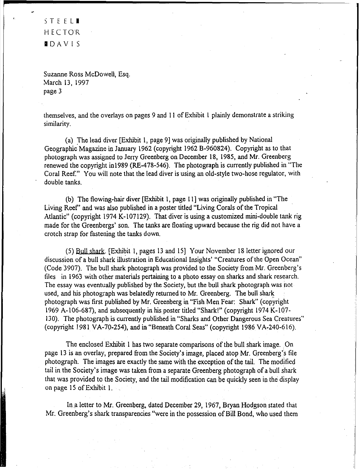STEEL. HECTOR IIDAVIS

**BEATHER** 

Suzanne Ross McDowell, Esq. March 13, 1997 page 3

themselves, and the overlays on pages 9 and II of Exhibit I plainly demonstrate a striking similarity.

(a) The lead diver [Exhibit 1, page 9] was originally published by National Geographic' Magazine in January 1962 (copyright 1962 B-960824). Copyright as to that photograph was assigned to Jerry Greenberg on December 18, 1985, and Mr. Greenberg renewed the copyright in1989 (RE-478-546). The photograph is currently published in "The Coral Reef." You will note that the lead diver is using an old-style two-hose regulator, with double tanks.

(b) The flowing-hair diver [Exhibit 1, page 11] was originally published in "The Living Reef' and was also published in a poster titled "Living Corals ofthe Tropical Atlantic" (copyright 1974 K-I07129). That diver is using a customized mini-double tank rig made for the Greenbergs' son. The tanks are floating upward because the rig did not have a crotch strap for fastening the tanks down.

(5) Bull shark. [Exhibit 1, pages 13 and 15] Your November 18 letter ignored our discussion of a bull shark illustration in Educational Insights' "Creatures of the Open Ocean" (Code 3907). The bull shark photograph was provided to the Society from Mr. Greenberg's files in 1963 with other materials pertaining to a photo essay on sharks and shark research. The essay was eventually published by the Society, but the bull shark photograph was not used, and his photograph was belatedly returned to Mr. Greenberg. The bull shark photograph was first published by Mr. Greenberg in "Fish Men Fear: Shark" (copyright 1969 A-I06-687), and subsequently in his poster titled "Shark!" (copyright 1974 K-I07- 130). The photograph is currently published in "Sharks and Other Dangerous Sea Creatures" (copyright 1981 VA-70-254), and in "Beneath Coral Seas" (copyright 1986 VA-240-616).

The enclosed Exhibit 1 has two separate comparisons of the bull shark image. On page 13 is an overlay, prepared from the Society's image, placed atop Mr. Greenberg's file photograph. The images are exactly the same with the exception of the tail. The modified tail in the Society's image was taken from a separate Greenberg photograph of a bull shark that was provided to the Society, and the tail modification can be quickly seen in the display on page 15 of Exhibit I.

In.a letter to Mr. Greenberg, dated December 29, 1967, Bryan Hodgson stated that Mr. Greenberg's shark transparencies "were in the possession of Bill Bond, who used them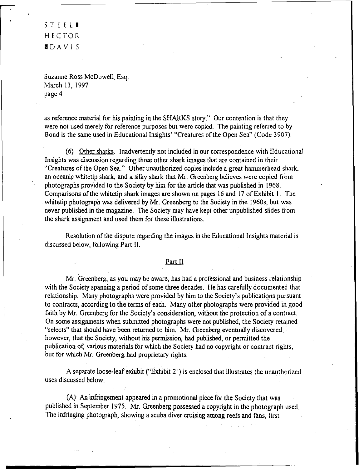STEELI HECTOR IIDAVIS

Suzanne Ross McDowell, Esq. March 13, 1997 page 4

as reference material for his painting in the SHARKS story." Our contention is that they were not used merely for reference purposes but were copied. The painting referred to by Bond is the same used in Educational Insights' "Creatures of the Open Sea" (Code 3907).

(6) Other sharks. Inadvertently not included in our correspondence with Educational Insights was discussion regarding three other shark images that are contained in their "Creatures of the Open Sea." Other unauthorized copies include a great hammerhead shark, an oceanicwhitetip shark, and a silky shark that Mr. Greenberg believes were copied from photographs provided to the Society by him for the article that was published in 1968. Comparisons of the whitetip shark images are shown on pages 16and 17ofExhibit I. The whitetip photograph was delivered by Mr. Greenberg to the Society in the 1960s, but was never published in the magazine. The Society may have kept other unpublished slides from the shark assignment and used them for these illustrations.

Resolution of the dispute regarding the images in the Educational Insights material is discussed below, following Part II.

#### part II

Mr. Greenberg, as you may be aware, has had a professional and business relationship with the Society spanning a period of some three decades. He has carefully documented that relationship. Many photographswere provided by him to the Society's publications pursuant to contracts, according to the terms of each. Many other photographs were provided in good faith by Mr. Greenberg for the Society's consideration, without the protection of a contract. On some assignments when submitted photographs were not published, the Society retained "selects" that should have been returned to him. Mr. Greenberg eventually discovered, however, that the Society, without his permission, had published, or permitted the publication of, various materials for which the Society had no copyright or contract rights, but for which Mr. Greenberg had proprietary rights.

A separate loose-leaf exhibit ("Exhibit 2") is enclosed that illustrates the unauthorized uses discussed below.

(A) Aninfringement appeared in a promotional piece for the Society that was published in September 1975. Mr. Greenberg possessed a copyright in the photograph used. The infringing photograph, showing a scuba diver cruising among reefs and fans, first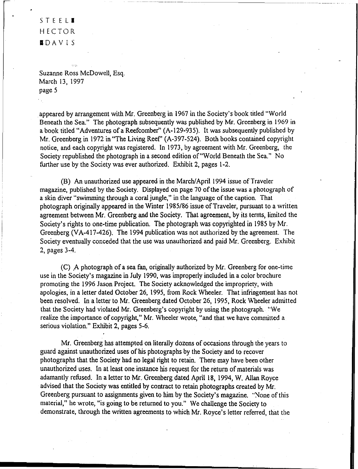### STEEL**. HECTOR** IDAVIS

Suzanne Ross McDowell, Esq. March 13, 1997 page 5

appeared by arrangement with Mr. Greenberg in 1967 in the Society's book titled "World Beneath the Sea." The photograph subsequently was published by Mr. Greenberg in 1969 in a book titled "Adventures of a Reefcomber" (A-129-935). It was subsequently published by Mr. Greenberg in 1972 in "The Living Reef' (A-397-524). Both books contained copyright notice, and each copyright was registered. In 1973, by agreement with Mr. Greenberg, the Society republished the photograph in a second edition of "World Beneath the Sea." No further use by the Society was ever authorized. Exhibit 2, pages 1-2.

(B) An unauthorized use appeared in the March/April 1994 issue of Traveler magazine, published by the Society. Displayed on page 70 of the issue was a photograph of a skin diver "swimming through a coral jungle," in the language of the caption. That photograph originally appeared in the Winter 1985/86 issue of Traveler, pursuant to a written agreement between Mr. Greenberg and the Society. That agreement, by its terms, limited the Society's rights to one-time publication. The photograph was copyrighted in 1985 by Mr. Greenberg (VA-417-426). The 1994 publication was not authorized by the agreement. The Society eventually conceded that the use was unauthorized and paid Mr. Greenberg. Exhibit 2, pages 3-4..

(C) .A photograph of a sea fan, originally authorized by Mr. Greenberg for one-time use in the Society's magazine in July 1990, was improperly included in a color brochure promoting the 1996 Jason Project. The Society acknowledged the impropriety, with apologies, in a letter dated October 26, 1995, from Rock Wheeler. That infringement has not been resolved. In a letter to Mr. Greenberg dated October 26, 1995, Rock Wheeler admitted that the Society had violated Mr. Greenberg's copyright by using the photograph. "We realize the importance of copyright," Mr. Wheeler wrote, "and that we have committed a serious violation." Exhibit 2, pages 5-6.

Mr. Greenberg has attempted on literally dozens of occasions through the years to guard against unauthorized uses of his photographs by the Society and to recover photographs that the Society had no legal right to retain. There may have been other unauthorized uses. In at least one instance his request for the return of materials was adamantly refused. In a letter to Mr. Greenberg dated April 18, 1994, W. Allan Royce advised that the Society was entitled by contract to retain photographs created by Mr. Greenberg pursuant to assignments given to him by the Society's magazine. "None of this material," he wrote, "is going to be returned to you." We challenge the Society to demonstrate, through the written agreements to which Mr. Royce's letter referred, that the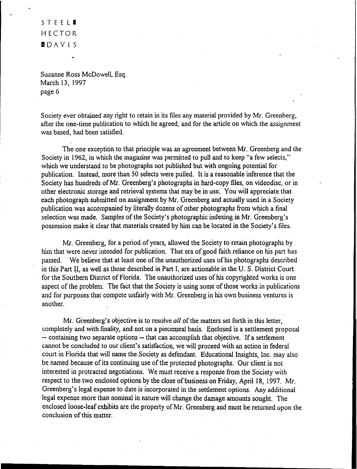### STEEL. HECTOR l'I DA V IS

Suzanne Ross McDowell, Esq. March 13, 1997 page 6

Society ever obtained any right to retain in its files any material provided by Mr. Greenberg, after the one-time publication to which he agreed, and for the article on which the assignment was based, had been satisfied.

The one exception to that principle was an agreement between Mr. Greenberg and the Society in 1962, in which the magazine was permitted to pull and to keep "a few selects," which we understand to be photographs not published but with ongoing potential for publication. Instead, more than 50 selects were pulled. It is a reasonable inference that the Society has hundreds of Mr. Greenberg's photographs in hard-copy files, on videodisc, or in other electronic storage and retrieval systems that may be in use. You will appreciate that each photograph submitted on assignment by Mr. Greenberg and actually used in a Society publication was accompanied by literally dozens of other photographs fromwhich a final selection was made. Samples of the Society's photographic indexing in Mr. Greenberg's possession make it clear that materials created by him can be located in the Society's files.

Mr. Greenberg, for a period of years, allowed the Society to retain photographs by him that were never intended for publication. That era of good faith reliance on his part has passed. We believe that at least one of the unauthorized uses of his photographs described in this Part II. as well as those described in Part I, are actionable in the U. S. District Court for the Southern District of Florida. The unauthorized uses of his copyrighted works is one aspect of the problem. The fact that the Society is using some of those works in publications and for purposes that compete unfairly with Mr. Greenberg in his own business ventures is another.

Mr. Greenberg's objective is to resolve *all* of the matters set forth in this letter, completely and with finality, and not on a piecemeal basis. Enclosed is a settlement proposal -- containing two separate options -- that can accomplish that objective. If a settlement cannot be concluded to our client's satisfaction, we will proceed with an action in federal court in Florida that will name the Society as defendant. Educational Insights, Inc. may also be named because of its continuing use of the protected photographs. Our client is not interested in protracted negotiations. We must receive a response from the Society with respect to the two enclosed options by the close of business on Friday, April 18, 1997. Mr. Greenberg's legal expense to date isincorporated in the settlement options. Any additional legal expense more than nominal in nature will change the damage amounts sought. The enclosed loose-leaf exhibits are the property of Mr. Greenberg and must be returned upon the conclusion of this matter.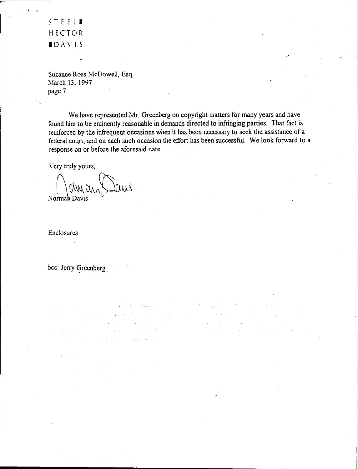~TEELI HECTOR .DAVIS

 $\cdot$  ,

Suzanne Ross McDowell, Esq. March 13, 1997 page 7

We have represented Mr. Greenberg on copyright matters for many years and have found him to be eminently reasonable in demands directed to infringing parties. That fact is reinforced by the infrequent occasions when it has been necessary to seek the assistance of a federal court, and on each such occasion the effort has been successful. We look forward to a response on or before the aforesaid date.

**TOTAL STATE** 

 $\label{eq:2} \mathcal{L}_{\text{max}} = \mathcal{L}_{\text{max}} + \mathcal{L}_{\text{max}}$ 

 $\frac{1}{2} \sum_{i=1}^n \frac{1}{2} \sum_{j=1}^n \frac{1}{2} \sum_{j=1}^n \frac{1}{2} \sum_{j=1}^n \frac{1}{2} \sum_{j=1}^n \frac{1}{2} \sum_{j=1}^n \frac{1}{2} \sum_{j=1}^n \frac{1}{2} \sum_{j=1}^n \frac{1}{2} \sum_{j=1}^n \frac{1}{2} \sum_{j=1}^n \frac{1}{2} \sum_{j=1}^n \frac{1}{2} \sum_{j=1}^n \frac{1}{2} \sum_{j=1}^n \frac{1}{2} \sum_{j=$ 

 $\hat{r}$  ,  $\hat{r}$  ,  $\hat{r}$ 

\"ery truly yours,

 $(0, 0)$  and  $\geq 0$ Normah Davis

Enclosures

bee: Jerry Greenberg

 $\mathbb{Z}^{\mathbb{Z}}$  or

 $\mathcal{L}^{\text{max}}_{\text{max}}$  , and  $\mathcal{L}^{\text{max}}_{\text{max}}$  $\sim 152$   $\sigma$ 

 $\label{eq:1} \frac{1}{2} \int_{\mathbb{R}^2} \frac{1}{\sqrt{2}} \, \frac{1}{\sqrt{2}} \, \frac{1}{\sqrt{2}} \, \frac{1}{\sqrt{2}} \, \frac{1}{\sqrt{2}} \, \frac{1}{\sqrt{2}} \, \frac{1}{\sqrt{2}} \, \frac{1}{\sqrt{2}} \, \frac{1}{\sqrt{2}} \, \frac{1}{\sqrt{2}} \, \frac{1}{\sqrt{2}} \, \frac{1}{\sqrt{2}} \, \frac{1}{\sqrt{2}} \, \frac{1}{\sqrt{2}} \, \frac{1}{\sqrt{2}} \, \frac{1}{\sqrt{2}} \, \frac$ 

 $\sim 20\,\mathrm{km}$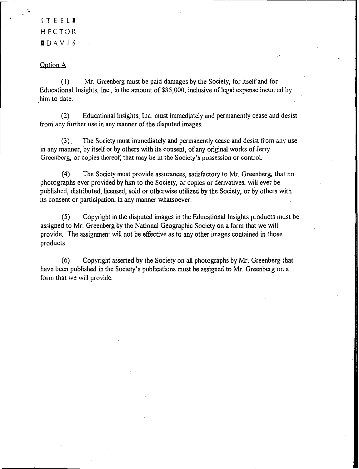. STEEl. HECTOR DDAVI5

,

### Option A

(I) Mr. Greenberg must be paid damages by the Society, for itselfand for Educational Insights, Inc., in the amount of \$35,000, inclusive of legal expense incurred by him to date.

(2) Educational Insights, Inc. must immediately and permanently cease and desist from any further use in any manner of the disputed images.

(3). The Society mustimmediately and permanently cease and desist from any use in any manner, by itself or by others with its consent, of any original works of Jerry Greenberg, or copies thereof, that may be in the Society's possession or control,

(4) The Society must provide assurances, satisfactory to Mr. Greenberg, that no photographs ever provided byhim to the Society, or copies or derivatives, will ever be published, distributed, licensed, sold or otherwise utilized by the Society, or by others with its consent or participation, in any manner whatsoever.

(5) Copyright in the disputed images in the Educational Insights products must be assigned to Mr. Greenberg by the National Geographic Society on a form that we will provide. The assignment will not be effective as to anyother images contained in those products.

(6) Copyright asserted by the Societyon all photographs by Mr. Greenberg that have been published in the Society's publications must be assigned to Mr. Greenberg on a form that we will provide.